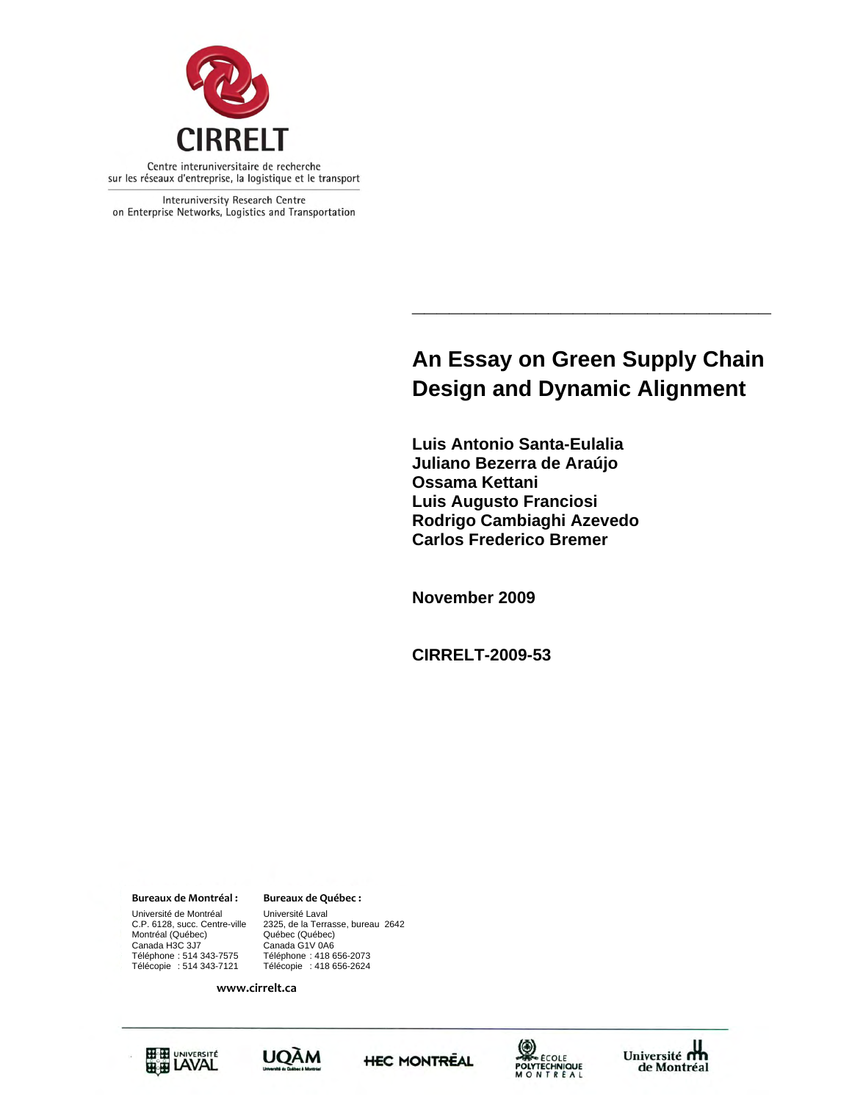

Interuniversity Research Centre on Enterprise Networks, Logistics and Transportation

# **An Essay on Green Supply Chain Design and Dynamic Alignment**

**\_\_\_\_\_\_\_\_\_\_\_\_\_\_\_\_\_\_\_\_\_\_\_\_\_\_\_\_\_** 

**Luis Antonio Santa-Eulalia Juliano Bezerra de Araújo Ossama Kettani Luis Augusto Franciosi Rodrigo Cambiaghi Azevedo Carlos Frederico Bremer** 

**November 2009** 

**CIRRELT-2009-53** 

**Bureaux de Montréal : Bureaux de Québec :**

Montréal (Québec) Québec (Québec)<br>Canada H3C 3J7 Canada G1V 0A6 Université de Montréal Université Laval<br>C.P. 6128, succ. Centre-ville 2325, de la Terra Canada H3C 3J7 Canada G1V 0A6 Téléphone : 514 343-7575 Téléphone : 418 656-2073 Télécopie : 514 343-7121 Télécopie : 418 656-2624

C.P. 6128, succ. Centre-ville 2325, de la Terrasse, bureau 2642

**www.cirrelt.ca**









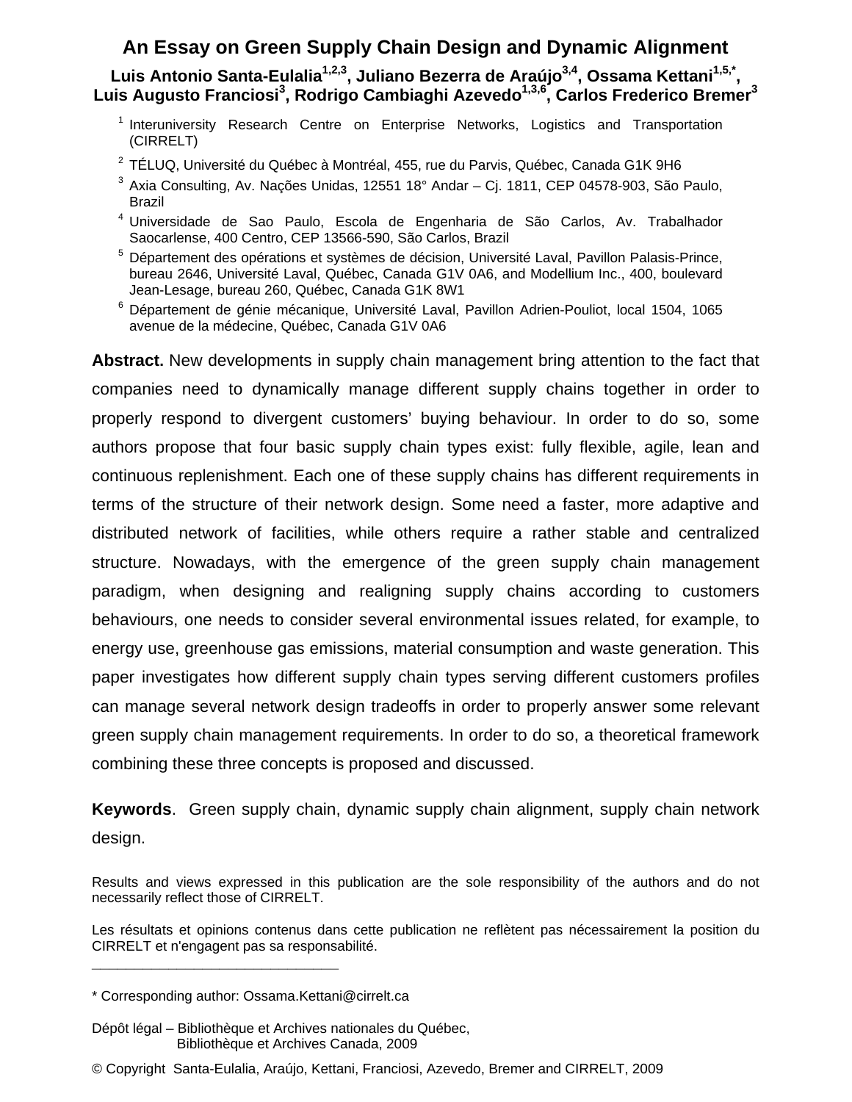## **An Essay on Green Supply Chain Design and Dynamic Alignment**

Luis Antonio Santa-Eulalia<sup>1,2,3</sup>, Juliano Bezerra de Araújo<sup>3,4</sup>, Ossama Kettani<sup>1,5,\*</sup>, Luis Augusto Franciosi<sup>3</sup>, Rodrigo Cambiaghi Azevedo<sup>1,3,6</sup>, Carlos Frederico Bremer<sup>3</sup>

- <sup>1</sup> Interuniversity Research Centre on Enterprise Networks, Logistics and Transportation (CIRRELT)
- $^2$  TÉLUQ, Université du Québec à Montréal, 455, rue du Parvis, Québec, Canada G1K 9H6
- $^3$  Axia Consulting, Av. Nações Unidas, 12551 18° Andar Cj. 1811, CEP 04578-903, São Paulo, Brazil
- <sup>4</sup> Universidade de Sao Paulo, Escola de Engenharia de São Carlos, Av. Trabalhador Saocarlense, 400 Centro, CEP 13566-590, São Carlos, Brazil
- <sup>5</sup> Département des opérations et systèmes de décision, Université Laval, Pavillon Palasis-Prince, bureau 2646, Université Laval, Québec, Canada G1V 0A6, and Modellium Inc., 400, boulevard Jean-Lesage, bureau 260, Québec, Canada G1K 8W1
- 6 Département de génie mécanique, Université Laval, Pavillon Adrien-Pouliot, local 1504, 1065 avenue de la médecine, Québec, Canada G1V 0A6

**Abstract.** New developments in supply chain management bring attention to the fact that companies need to dynamically manage different supply chains together in order to properly respond to divergent customers' buying behaviour. In order to do so, some authors propose that four basic supply chain types exist: fully flexible, agile, lean and continuous replenishment. Each one of these supply chains has different requirements in terms of the structure of their network design. Some need a faster, more adaptive and distributed network of facilities, while others require a rather stable and centralized structure. Nowadays, with the emergence of the green supply chain management paradigm, when designing and realigning supply chains according to customers behaviours, one needs to consider several environmental issues related, for example, to energy use, greenhouse gas emissions, material consumption and waste generation. This paper investigates how different supply chain types serving different customers profiles can manage several network design tradeoffs in order to properly answer some relevant green supply chain management requirements. In order to do so, a theoretical framework combining these three concepts is proposed and discussed.

**Keywords**. Green supply chain, dynamic supply chain alignment, supply chain network design.

**\_\_\_\_\_\_\_\_\_\_\_\_\_\_\_\_\_\_\_\_\_\_\_\_\_\_\_\_\_**

© Copyright Santa-Eulalia, Araújo, Kettani, Franciosi, Azevedo, Bremer and CIRRELT, 2009

Results and views expressed in this publication are the sole responsibility of the authors and do not necessarily reflect those of CIRRELT.

Les résultats et opinions contenus dans cette publication ne reflètent pas nécessairement la position du CIRRELT et n'engagent pas sa responsabilité.

<sup>\*</sup> Corresponding author: Ossama.Kettani@cirrelt.ca

Dépôt légal – Bibliothèque et Archives nationales du Québec, Bibliothèque et Archives Canada, 2009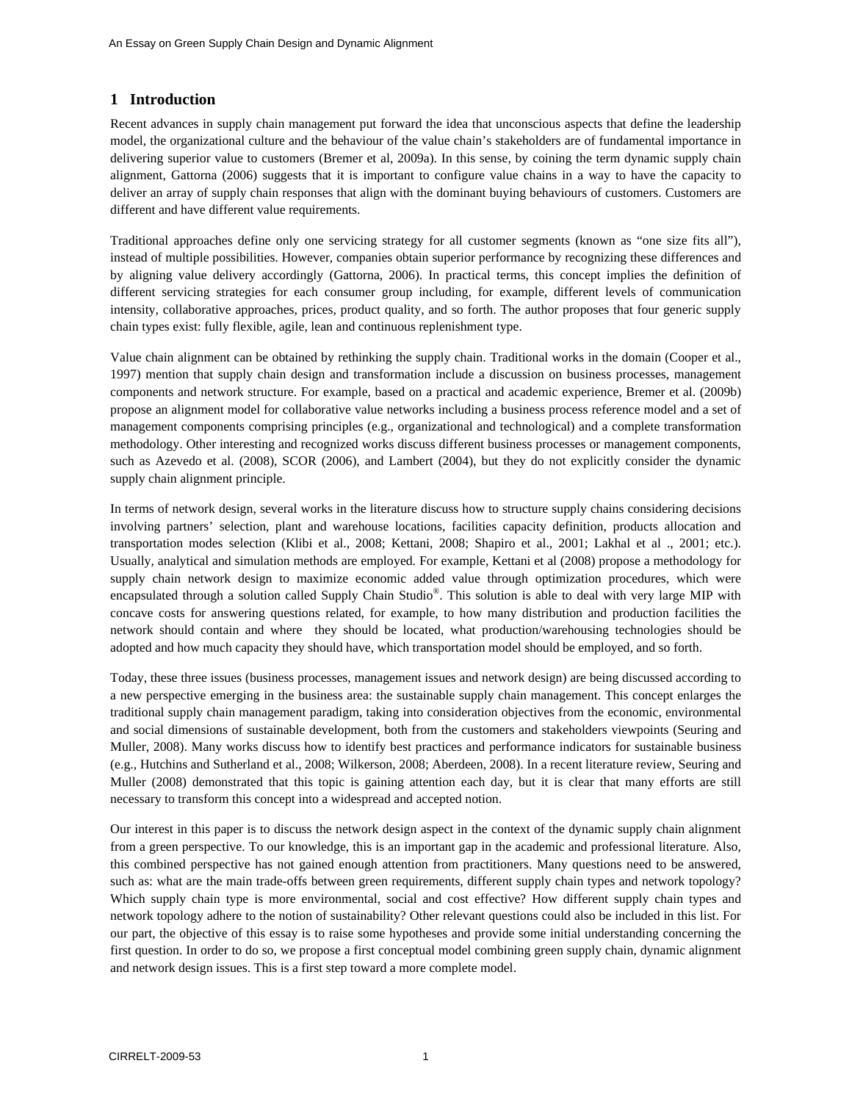## **1 Introduction**

Recent advances in supply chain management put forward the idea that unconscious aspects that define the leadership model, the organizational culture and the behaviour of the value chain's stakeholders are of fundamental importance in delivering superior value to customers (Bremer et al, 2009a). In this sense, by coining the term dynamic supply chain alignment, Gattorna (2006) suggests that it is important to configure value chains in a way to have the capacity to deliver an array of supply chain responses that align with the dominant buying behaviours of customers. Customers are different and have different value requirements.

Traditional approaches define only one servicing strategy for all customer segments (known as "one size fits all"), instead of multiple possibilities. However, companies obtain superior performance by recognizing these differences and by aligning value delivery accordingly (Gattorna, 2006). In practical terms, this concept implies the definition of different servicing strategies for each consumer group including, for example, different levels of communication intensity, collaborative approaches, prices, product quality, and so forth. The author proposes that four generic supply chain types exist: fully flexible, agile, lean and continuous replenishment type.

Value chain alignment can be obtained by rethinking the supply chain. Traditional works in the domain (Cooper et al., 1997) mention that supply chain design and transformation include a discussion on business processes, management components and network structure. For example, based on a practical and academic experience, Bremer et al. (2009b) propose an alignment model for collaborative value networks including a business process reference model and a set of management components comprising principles (e.g., organizational and technological) and a complete transformation methodology. Other interesting and recognized works discuss different business processes or management components, such as Azevedo et al. (2008), SCOR (2006), and Lambert (2004), but they do not explicitly consider the dynamic supply chain alignment principle.

In terms of network design, several works in the literature discuss how to structure supply chains considering decisions involving partners' selection, plant and warehouse locations, facilities capacity definition, products allocation and transportation modes selection (Klibi et al., 2008; Kettani, 2008; Shapiro et al., 2001; Lakhal et al ., 2001; etc.). Usually, analytical and simulation methods are employed. For example, Kettani et al (2008) propose a methodology for supply chain network design to maximize economic added value through optimization procedures, which were encapsulated through a solution called Supply Chain Studio®. This solution is able to deal with very large MIP with concave costs for answering questions related, for example, to how many distribution and production facilities the network should contain and where they should be located, what production/warehousing technologies should be adopted and how much capacity they should have, which transportation model should be employed, and so forth.

Today, these three issues (business processes, management issues and network design) are being discussed according to a new perspective emerging in the business area: the sustainable supply chain management. This concept enlarges the traditional supply chain management paradigm, taking into consideration objectives from the economic, environmental and social dimensions of sustainable development, both from the customers and stakeholders viewpoints (Seuring and Muller, 2008). Many works discuss how to identify best practices and performance indicators for sustainable business (e.g., Hutchins and Sutherland et al., 2008; Wilkerson, 2008; Aberdeen, 2008). In a recent literature review, Seuring and Muller (2008) demonstrated that this topic is gaining attention each day, but it is clear that many efforts are still necessary to transform this concept into a widespread and accepted notion.

Our interest in this paper is to discuss the network design aspect in the context of the dynamic supply chain alignment from a green perspective. To our knowledge, this is an important gap in the academic and professional literature. Also, this combined perspective has not gained enough attention from practitioners. Many questions need to be answered, such as: what are the main trade-offs between green requirements, different supply chain types and network topology? Which supply chain type is more environmental, social and cost effective? How different supply chain types and network topology adhere to the notion of sustainability? Other relevant questions could also be included in this list. For our part, the objective of this essay is to raise some hypotheses and provide some initial understanding concerning the first question. In order to do so, we propose a first conceptual model combining green supply chain, dynamic alignment and network design issues. This is a first step toward a more complete model.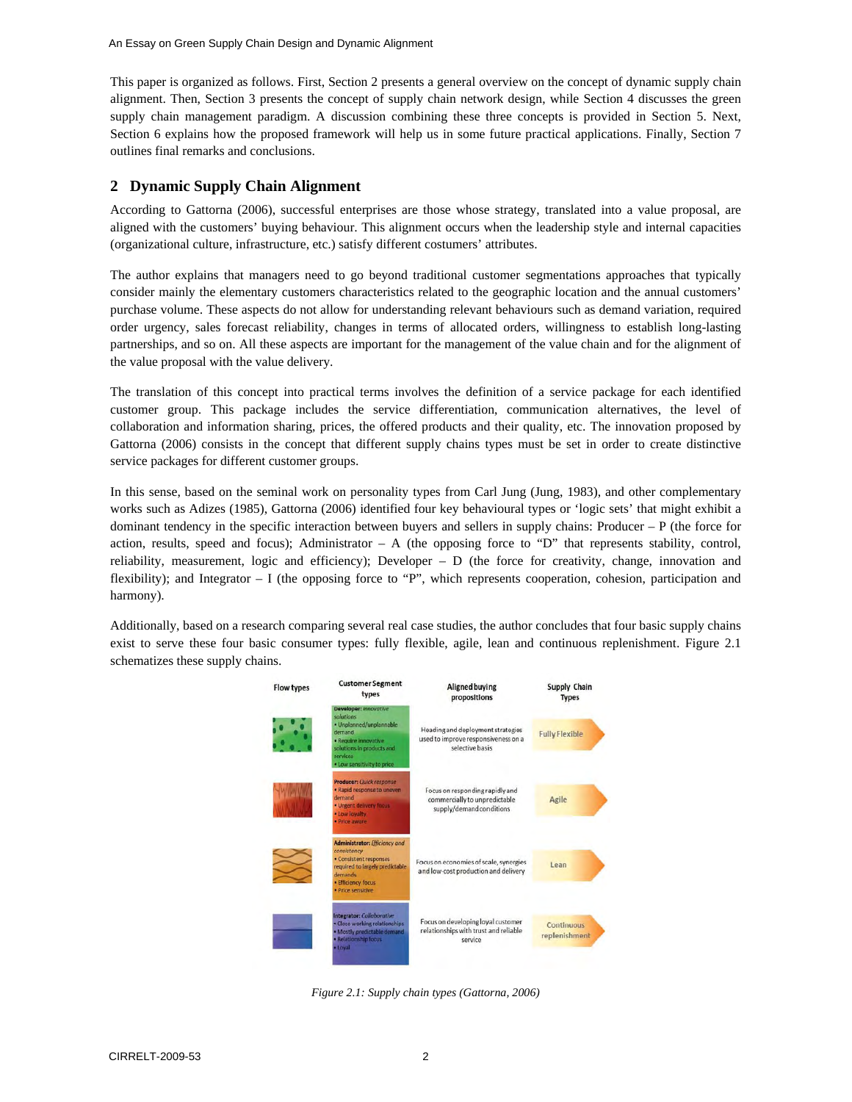This paper is organized as follows. First, Section 2 presents a general overview on the concept of dynamic supply chain alignment. Then, Section 3 presents the concept of supply chain network design, while Section 4 discusses the green supply chain management paradigm. A discussion combining these three concepts is provided in Section 5. Next, Section 6 explains how the proposed framework will help us in some future practical applications. Finally, Section 7 outlines final remarks and conclusions.

## **2 Dynamic Supply Chain Alignment**

According to Gattorna (2006), successful enterprises are those whose strategy, translated into a value proposal, are aligned with the customers' buying behaviour. This alignment occurs when the leadership style and internal capacities (organizational culture, infrastructure, etc.) satisfy different costumers' attributes.

The author explains that managers need to go beyond traditional customer segmentations approaches that typically consider mainly the elementary customers characteristics related to the geographic location and the annual customers' purchase volume. These aspects do not allow for understanding relevant behaviours such as demand variation, required order urgency, sales forecast reliability, changes in terms of allocated orders, willingness to establish long-lasting partnerships, and so on. All these aspects are important for the management of the value chain and for the alignment of the value proposal with the value delivery.

The translation of this concept into practical terms involves the definition of a service package for each identified customer group. This package includes the service differentiation, communication alternatives, the level of collaboration and information sharing, prices, the offered products and their quality, etc. The innovation proposed by Gattorna (2006) consists in the concept that different supply chains types must be set in order to create distinctive service packages for different customer groups.

In this sense, based on the seminal work on personality types from Carl Jung (Jung, 1983), and other complementary works such as Adizes (1985), Gattorna (2006) identified four key behavioural types or 'logic sets' that might exhibit a dominant tendency in the specific interaction between buyers and sellers in supply chains: Producer – P (the force for action, results, speed and focus); Administrator  $- A$  (the opposing force to "D" that represents stability, control, reliability, measurement, logic and efficiency); Developer – D (the force for creativity, change, innovation and flexibility); and Integrator – I (the opposing force to "P", which represents cooperation, cohesion, participation and harmony).

Additionally, based on a research comparing several real case studies, the author concludes that four basic supply chains exist to serve these four basic consumer types: fully flexible, agile, lean and continuous replenishment. Figure 2.1 schematizes these supply chains.



*Figure 2.1: Supply chain types (Gattorna, 2006)*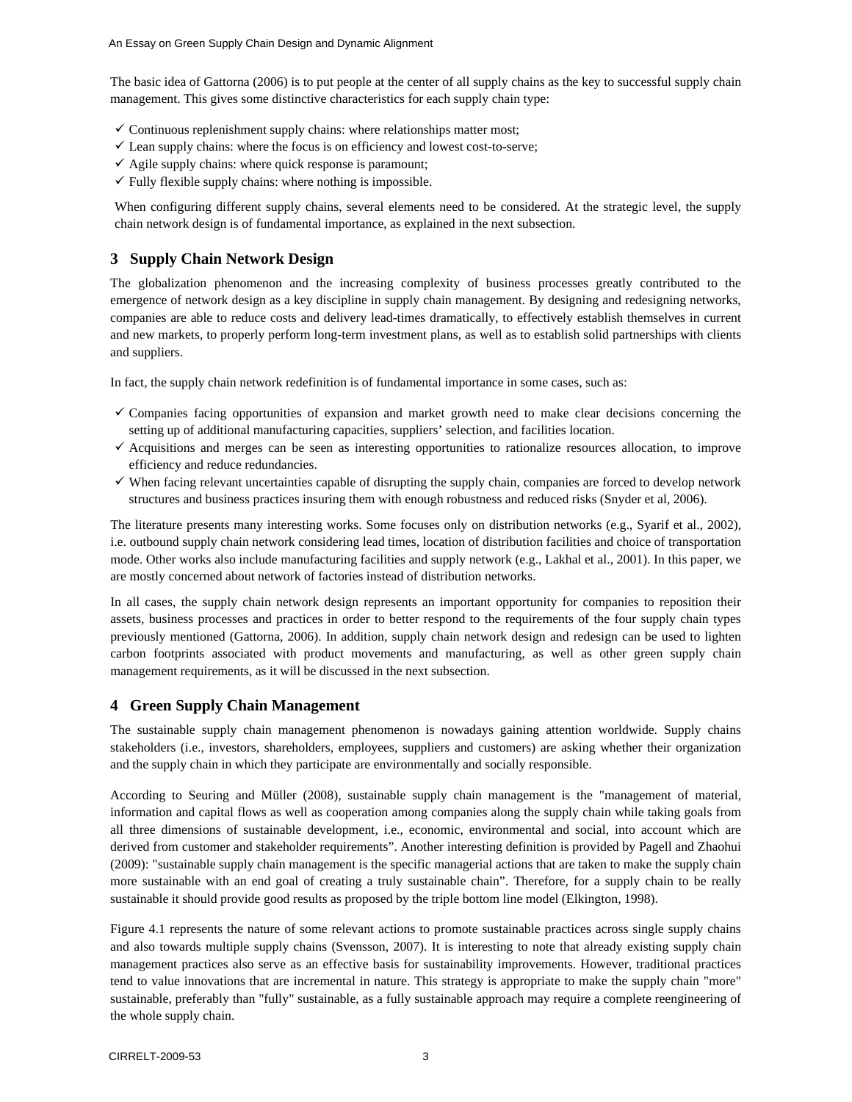The basic idea of Gattorna (2006) is to put people at the center of all supply chains as the key to successful supply chain management. This gives some distinctive characteristics for each supply chain type:

- $\checkmark$  Continuous replenishment supply chains: where relationships matter most;
- $\checkmark$  Lean supply chains: where the focus is on efficiency and lowest cost-to-serve;
- $\checkmark$  Agile supply chains: where quick response is paramount;
- $\checkmark$  Fully flexible supply chains: where nothing is impossible.

When configuring different supply chains, several elements need to be considered. At the strategic level, the supply chain network design is of fundamental importance, as explained in the next subsection.

## **3 Supply Chain Network Design**

The globalization phenomenon and the increasing complexity of business processes greatly contributed to the emergence of network design as a key discipline in supply chain management. By designing and redesigning networks, companies are able to reduce costs and delivery lead-times dramatically, to effectively establish themselves in current and new markets, to properly perform long-term investment plans, as well as to establish solid partnerships with clients and suppliers.

In fact, the supply chain network redefinition is of fundamental importance in some cases, such as:

- $\checkmark$  Companies facing opportunities of expansion and market growth need to make clear decisions concerning the setting up of additional manufacturing capacities, suppliers' selection, and facilities location.
- $\checkmark$  Acquisitions and merges can be seen as interesting opportunities to rationalize resources allocation, to improve efficiency and reduce redundancies.
- $\checkmark$  When facing relevant uncertainties capable of disrupting the supply chain, companies are forced to develop network structures and business practices insuring them with enough robustness and reduced risks (Snyder et al, 2006).

The literature presents many interesting works. Some focuses only on distribution networks (e.g., Syarif et al., 2002), i.e. outbound supply chain network considering lead times, location of distribution facilities and choice of transportation mode. Other works also include manufacturing facilities and supply network (e.g., Lakhal et al., 2001). In this paper, we are mostly concerned about network of factories instead of distribution networks.

In all cases, the supply chain network design represents an important opportunity for companies to reposition their assets, business processes and practices in order to better respond to the requirements of the four supply chain types previously mentioned (Gattorna, 2006). In addition, supply chain network design and redesign can be used to lighten carbon footprints associated with product movements and manufacturing, as well as other green supply chain management requirements, as it will be discussed in the next subsection.

## **4 Green Supply Chain Management**

The sustainable supply chain management phenomenon is nowadays gaining attention worldwide. Supply chains stakeholders (i.e., investors, shareholders, employees, suppliers and customers) are asking whether their organization and the supply chain in which they participate are environmentally and socially responsible.

According to Seuring and Müller (2008), sustainable supply chain management is the "management of material, information and capital flows as well as cooperation among companies along the supply chain while taking goals from all three dimensions of sustainable development, i.e., economic, environmental and social, into account which are derived from customer and stakeholder requirements". Another interesting definition is provided by Pagell and Zhaohui (2009): "sustainable supply chain management is the specific managerial actions that are taken to make the supply chain more sustainable with an end goal of creating a truly sustainable chain". Therefore, for a supply chain to be really sustainable it should provide good results as proposed by the triple bottom line model (Elkington, 1998).

Figure 4.1 represents the nature of some relevant actions to promote sustainable practices across single supply chains and also towards multiple supply chains (Svensson, 2007). It is interesting to note that already existing supply chain management practices also serve as an effective basis for sustainability improvements. However, traditional practices tend to value innovations that are incremental in nature. This strategy is appropriate to make the supply chain "more" sustainable, preferably than "fully" sustainable, as a fully sustainable approach may require a complete reengineering of the whole supply chain.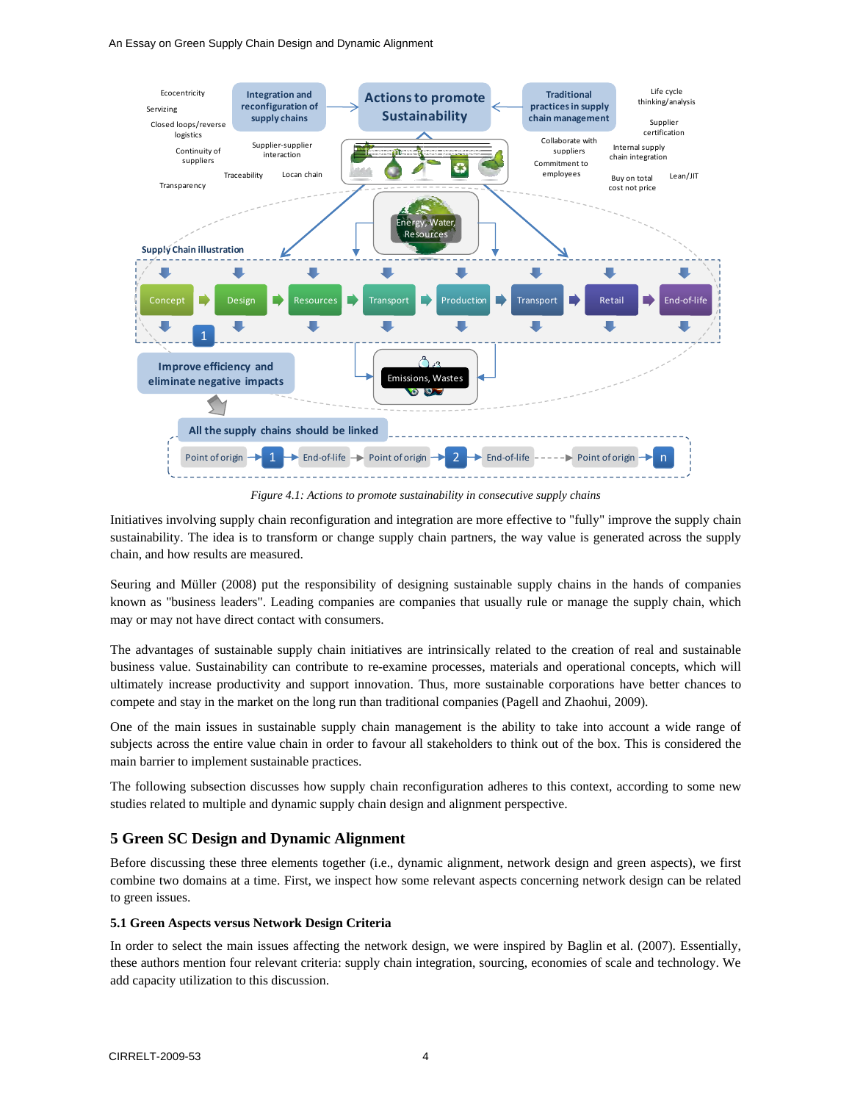#### An Essay on Green Supply Chain Design and Dynamic Alignment



*Figure 4.1: Actions to promote sustainability in consecutive supply chains*

Initiatives involving supply chain reconfiguration and integration are more effective to "fully" improve the supply chain sustainability. The idea is to transform or change supply chain partners, the way value is generated across the supply chain, and how results are measured.

Seuring and Müller (2008) put the responsibility of designing sustainable supply chains in the hands of companies known as "business leaders". Leading companies are companies that usually rule or manage the supply chain, which may or may not have direct contact with consumers.

The advantages of sustainable supply chain initiatives are intrinsically related to the creation of real and sustainable business value. Sustainability can contribute to re-examine processes, materials and operational concepts, which will ultimately increase productivity and support innovation. Thus, more sustainable corporations have better chances to compete and stay in the market on the long run than traditional companies (Pagell and Zhaohui, 2009).

One of the main issues in sustainable supply chain management is the ability to take into account a wide range of subjects across the entire value chain in order to favour all stakeholders to think out of the box. This is considered the main barrier to implement sustainable practices.

The following subsection discusses how supply chain reconfiguration adheres to this context, according to some new studies related to multiple and dynamic supply chain design and alignment perspective.

## **5 Green SC Design and Dynamic Alignment**

Before discussing these three elements together (i.e., dynamic alignment, network design and green aspects), we first combine two domains at a time. First, we inspect how some relevant aspects concerning network design can be related to green issues.

#### **5.1 Green Aspects versus Network Design Criteria**

In order to select the main issues affecting the network design, we were inspired by Baglin et al. (2007). Essentially, these authors mention four relevant criteria: supply chain integration, sourcing, economies of scale and technology. We add capacity utilization to this discussion.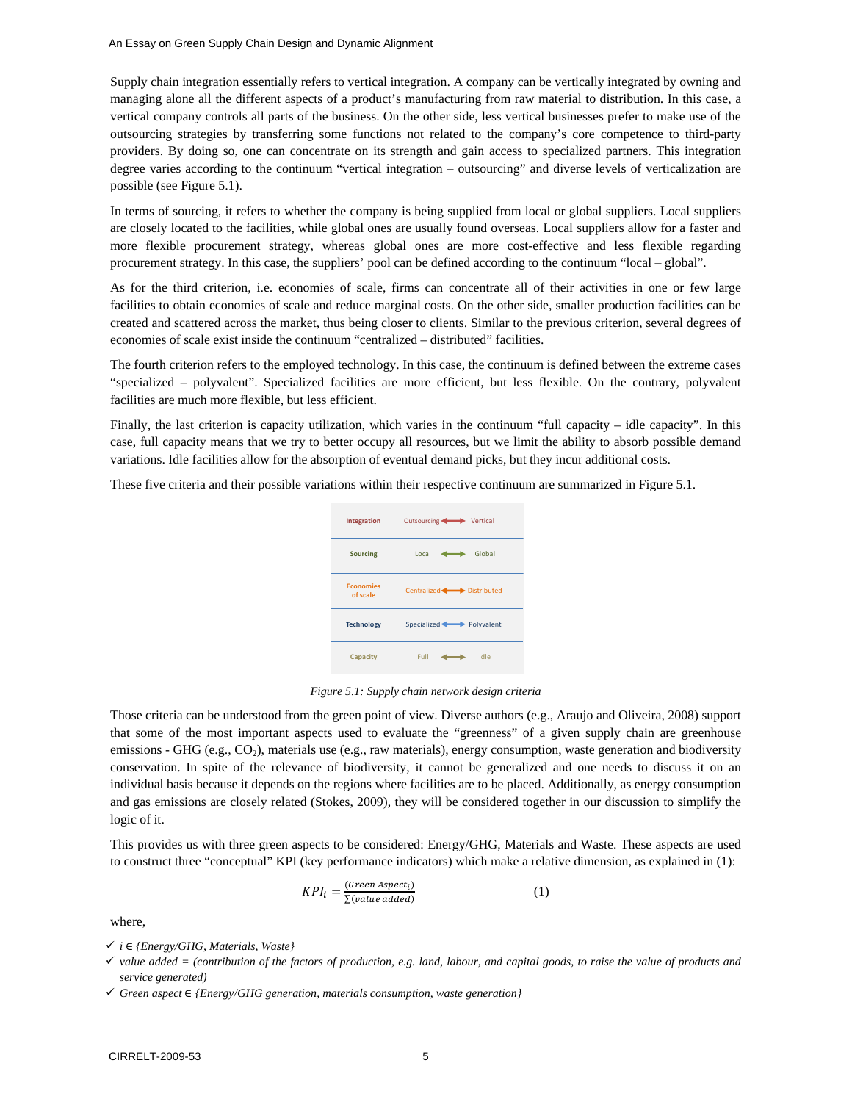Supply chain integration essentially refers to vertical integration. A company can be vertically integrated by owning and managing alone all the different aspects of a product's manufacturing from raw material to distribution. In this case, a vertical company controls all parts of the business. On the other side, less vertical businesses prefer to make use of the outsourcing strategies by transferring some functions not related to the company's core competence to third-party providers. By doing so, one can concentrate on its strength and gain access to specialized partners. This integration degree varies according to the continuum "vertical integration – outsourcing" and diverse levels of verticalization are possible (see Figure 5.1).

In terms of sourcing, it refers to whether the company is being supplied from local or global suppliers. Local suppliers are closely located to the facilities, while global ones are usually found overseas. Local suppliers allow for a faster and more flexible procurement strategy, whereas global ones are more cost-effective and less flexible regarding procurement strategy. In this case, the suppliers' pool can be defined according to the continuum "local – global".

As for the third criterion, i.e. economies of scale, firms can concentrate all of their activities in one or few large facilities to obtain economies of scale and reduce marginal costs. On the other side, smaller production facilities can be created and scattered across the market, thus being closer to clients. Similar to the previous criterion, several degrees of economies of scale exist inside the continuum "centralized – distributed" facilities.

The fourth criterion refers to the employed technology. In this case, the continuum is defined between the extreme cases "specialized – polyvalent". Specialized facilities are more efficient, but less flexible. On the contrary, polyvalent facilities are much more flexible, but less efficient.

Finally, the last criterion is capacity utilization, which varies in the continuum "full capacity – idle capacity". In this case, full capacity means that we try to better occupy all resources, but we limit the ability to absorb possible demand variations. Idle facilities allow for the absorption of eventual demand picks, but they incur additional costs.

These five criteria and their possible variations within their respective continuum are summarized in Figure 5.1.



*Figure 5.1: Supply chain network design criteria* 

Those criteria can be understood from the green point of view. Diverse authors (e.g., Araujo and Oliveira, 2008) support that some of the most important aspects used to evaluate the "greenness" of a given supply chain are greenhouse emissions - GHG (e.g., CO<sub>2</sub>), materials use (e.g., raw materials), energy consumption, waste generation and biodiversity conservation. In spite of the relevance of biodiversity, it cannot be generalized and one needs to discuss it on an individual basis because it depends on the regions where facilities are to be placed. Additionally, as energy consumption and gas emissions are closely related (Stokes, 2009), they will be considered together in our discussion to simplify the logic of it.

This provides us with three green aspects to be considered: Energy/GHG, Materials and Waste. These aspects are used to construct three "conceptual" KPI (key performance indicators) which make a relative dimension, as explained in (1):

$$
KPI_i = \frac{(Green \, aspect_i)}{\Sigma (value \, added)}\tag{1}
$$

where,

9 *i* א*} Energy/GHG, Materials, Waste}* 

<sup>9</sup> *value added = (contribution of the factors of production, e.g. land, labour, and capital goods, to raise the value of products and service generated)* 

<sup>9</sup> *Green aspect* א*} Energy/GHG generation, materials consumption, waste generation}*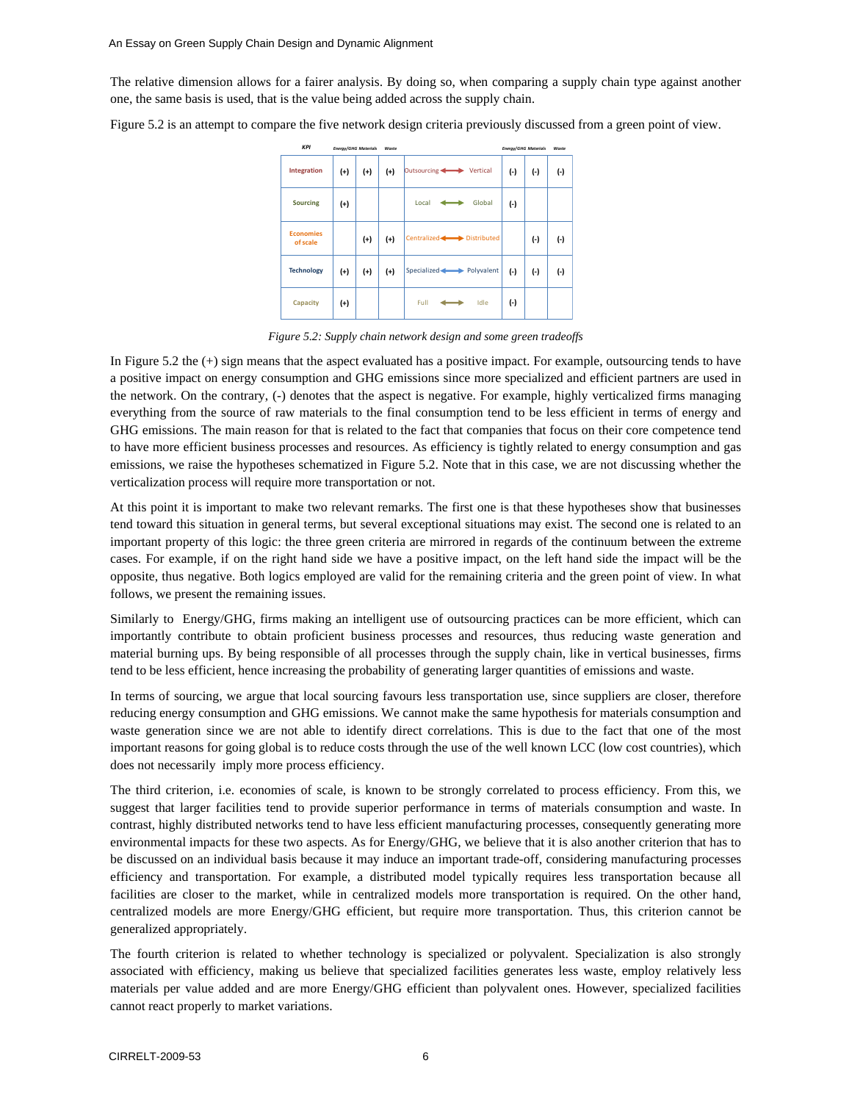The relative dimension allows for a fairer analysis. By doing so, when comparing a supply chain type against another one, the same basis is used, that is the value being added across the supply chain.

Figure 5.2 is an attempt to compare the five network design criteria previously discussed from a green point of view.

| <b>KPI</b>                   | <b>Energy/GHG Materials</b> |       | Waste |                         | <b>Energy/GHG Materials</b> |           | Waste     |
|------------------------------|-----------------------------|-------|-------|-------------------------|-----------------------------|-----------|-----------|
| Integration                  | $^{(+)}$                    | $(+)$ | $(+)$ | Outsourcing Vertical    | $(\cdot)$                   | $(\cdot)$ | $(\cdot)$ |
| <b>Sourcing</b>              | $^{(+)}$                    |       |       | Global<br>Local         | $(-)$                       |           |           |
| <b>Economies</b><br>of scale |                             | $(+)$ | $(+)$ | Centralized Distributed |                             | $(\cdot)$ | (-)       |
| <b>Technology</b>            | $(+)$                       | $(+)$ | $(+)$ | Specialized Polyvalent  | $(-)$                       | $(\cdot)$ | (-)       |
| Capacity                     | $(+)$                       |       |       | Full<br>Idle            | $(\cdot)$                   |           |           |

*Figure 5.2: Supply chain network design and some green tradeoffs* 

In Figure 5.2 the (+) sign means that the aspect evaluated has a positive impact. For example, outsourcing tends to have a positive impact on energy consumption and GHG emissions since more specialized and efficient partners are used in the network. On the contrary, (-) denotes that the aspect is negative. For example, highly verticalized firms managing everything from the source of raw materials to the final consumption tend to be less efficient in terms of energy and GHG emissions. The main reason for that is related to the fact that companies that focus on their core competence tend to have more efficient business processes and resources. As efficiency is tightly related to energy consumption and gas emissions, we raise the hypotheses schematized in Figure 5.2. Note that in this case, we are not discussing whether the verticalization process will require more transportation or not.

At this point it is important to make two relevant remarks. The first one is that these hypotheses show that businesses tend toward this situation in general terms, but several exceptional situations may exist. The second one is related to an important property of this logic: the three green criteria are mirrored in regards of the continuum between the extreme cases. For example, if on the right hand side we have a positive impact, on the left hand side the impact will be the opposite, thus negative. Both logics employed are valid for the remaining criteria and the green point of view. In what follows, we present the remaining issues.

Similarly to Energy/GHG, firms making an intelligent use of outsourcing practices can be more efficient, which can importantly contribute to obtain proficient business processes and resources, thus reducing waste generation and material burning ups. By being responsible of all processes through the supply chain, like in vertical businesses, firms tend to be less efficient, hence increasing the probability of generating larger quantities of emissions and waste.

In terms of sourcing, we argue that local sourcing favours less transportation use, since suppliers are closer, therefore reducing energy consumption and GHG emissions. We cannot make the same hypothesis for materials consumption and waste generation since we are not able to identify direct correlations. This is due to the fact that one of the most important reasons for going global is to reduce costs through the use of the well known LCC (low cost countries), which does not necessarily imply more process efficiency.

The third criterion, i.e. economies of scale, is known to be strongly correlated to process efficiency. From this, we suggest that larger facilities tend to provide superior performance in terms of materials consumption and waste. In contrast, highly distributed networks tend to have less efficient manufacturing processes, consequently generating more environmental impacts for these two aspects. As for Energy/GHG, we believe that it is also another criterion that has to be discussed on an individual basis because it may induce an important trade-off, considering manufacturing processes efficiency and transportation. For example, a distributed model typically requires less transportation because all facilities are closer to the market, while in centralized models more transportation is required. On the other hand, centralized models are more Energy/GHG efficient, but require more transportation. Thus, this criterion cannot be generalized appropriately.

The fourth criterion is related to whether technology is specialized or polyvalent. Specialization is also strongly associated with efficiency, making us believe that specialized facilities generates less waste, employ relatively less materials per value added and are more Energy/GHG efficient than polyvalent ones. However, specialized facilities cannot react properly to market variations.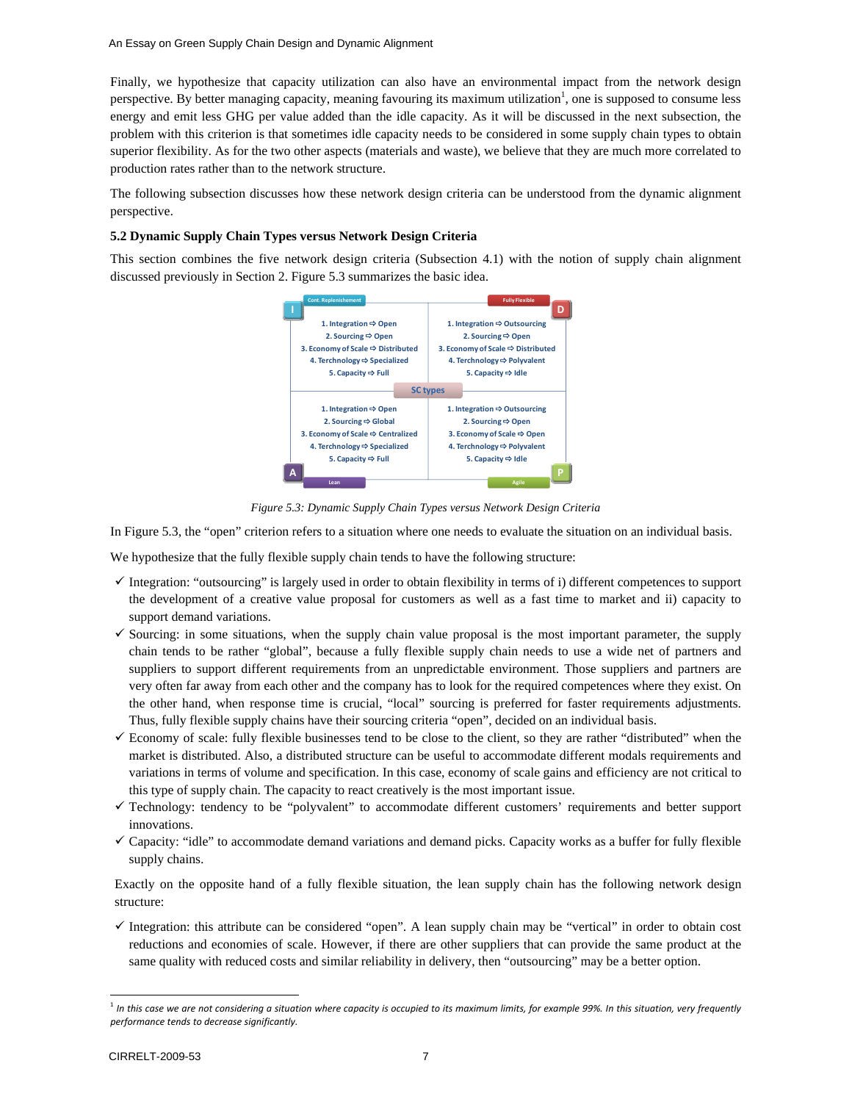Finally, we hypothesize that capacity utilization can also have an environmental impact from the network design perspective. By better managing capacity, meaning favouring its maximum utilization<sup>1</sup>, one is supposed to consume less energy and emit less GHG per value added than the idle capacity. As it will be discussed in the next subsection, the problem with this criterion is that sometimes idle capacity needs to be considered in some supply chain types to obtain superior flexibility. As for the two other aspects (materials and waste), we believe that they are much more correlated to production rates rather than to the network structure.

The following subsection discusses how these network design criteria can be understood from the dynamic alignment perspective.

#### **5.2 Dynamic Supply Chain Types versus Network Design Criteria**

This section combines the five network design criteria (Subsection 4.1) with the notion of supply chain alignment discussed previously in Section 2. Figure 5.3 summarizes the basic idea.



*Figure 5.3: Dynamic Supply Chain Types versus Network Design Criteria* 

In Figure 5.3, the "open" criterion refers to a situation where one needs to evaluate the situation on an individual basis.

We hypothesize that the fully flexible supply chain tends to have the following structure:

- $\checkmark$  Integration: "outsourcing" is largely used in order to obtain flexibility in terms of i) different competences to support the development of a creative value proposal for customers as well as a fast time to market and ii) capacity to support demand variations.
- $\checkmark$  Sourcing: in some situations, when the supply chain value proposal is the most important parameter, the supply chain tends to be rather "global", because a fully flexible supply chain needs to use a wide net of partners and suppliers to support different requirements from an unpredictable environment. Those suppliers and partners are very often far away from each other and the company has to look for the required competences where they exist. On the other hand, when response time is crucial, "local" sourcing is preferred for faster requirements adjustments. Thus, fully flexible supply chains have their sourcing criteria "open", decided on an individual basis.
- $\checkmark$  Economy of scale: fully flexible businesses tend to be close to the client, so they are rather "distributed" when the market is distributed. Also, a distributed structure can be useful to accommodate different modals requirements and variations in terms of volume and specification. In this case, economy of scale gains and efficiency are not critical to this type of supply chain. The capacity to react creatively is the most important issue.
- 9 Technology: tendency to be "polyvalent" to accommodate different customers' requirements and better support innovations.
- $\checkmark$  Capacity: "idle" to accommodate demand variations and demand picks. Capacity works as a buffer for fully flexible supply chains.

Exactly on the opposite hand of a fully flexible situation, the lean supply chain has the following network design structure:

 $\checkmark$  Integration: this attribute can be considered "open". A lean supply chain may be "vertical" in order to obtain cost reductions and economies of scale. However, if there are other suppliers that can provide the same product at the same quality with reduced costs and similar reliability in delivery, then "outsourcing" may be a better option.

<sup>&</sup>lt;sup>1</sup> In this case we are not considering a situation where capacity is occupied to its maximum limits, for example 99%. In this situation, very frequently *performance tends to decrease significantly.*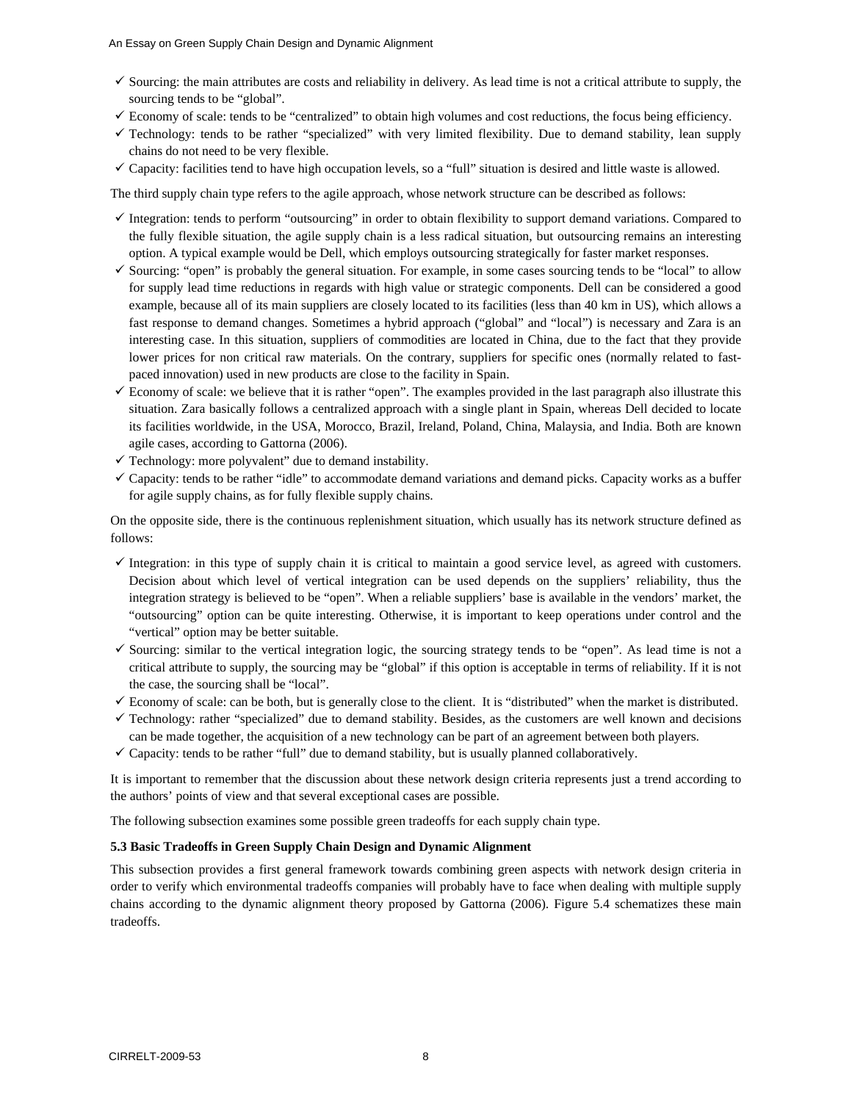- $\checkmark$  Sourcing: the main attributes are costs and reliability in delivery. As lead time is not a critical attribute to supply, the sourcing tends to be "global".
- $\checkmark$  Economy of scale: tends to be "centralized" to obtain high volumes and cost reductions, the focus being efficiency.
- $\checkmark$  Technology: tends to be rather "specialized" with very limited flexibility. Due to demand stability, lean supply chains do not need to be very flexible.
- $\checkmark$  Capacity: facilities tend to have high occupation levels, so a "full" situation is desired and little waste is allowed.

The third supply chain type refers to the agile approach, whose network structure can be described as follows:

- $\checkmark$  Integration: tends to perform "outsourcing" in order to obtain flexibility to support demand variations. Compared to the fully flexible situation, the agile supply chain is a less radical situation, but outsourcing remains an interesting option. A typical example would be Dell, which employs outsourcing strategically for faster market responses.
- $\checkmark$  Sourcing: "open" is probably the general situation. For example, in some cases sourcing tends to be "local" to allow for supply lead time reductions in regards with high value or strategic components. Dell can be considered a good example, because all of its main suppliers are closely located to its facilities (less than 40 km in US), which allows a fast response to demand changes. Sometimes a hybrid approach ("global" and "local") is necessary and Zara is an interesting case. In this situation, suppliers of commodities are located in China, due to the fact that they provide lower prices for non critical raw materials. On the contrary, suppliers for specific ones (normally related to fastpaced innovation) used in new products are close to the facility in Spain.
- $\checkmark$  Economy of scale: we believe that it is rather "open". The examples provided in the last paragraph also illustrate this situation. Zara basically follows a centralized approach with a single plant in Spain, whereas Dell decided to locate its facilities worldwide, in the USA, Morocco, Brazil, Ireland, Poland, China, Malaysia, and India. Both are known agile cases, according to Gattorna (2006).
- $\checkmark$  Technology: more polyvalent" due to demand instability.
- $\checkmark$  Capacity: tends to be rather "idle" to accommodate demand variations and demand picks. Capacity works as a buffer for agile supply chains, as for fully flexible supply chains.

On the opposite side, there is the continuous replenishment situation, which usually has its network structure defined as follows:

- $\checkmark$  Integration: in this type of supply chain it is critical to maintain a good service level, as agreed with customers. Decision about which level of vertical integration can be used depends on the suppliers' reliability, thus the integration strategy is believed to be "open". When a reliable suppliers' base is available in the vendors' market, the "outsourcing" option can be quite interesting. Otherwise, it is important to keep operations under control and the "vertical" option may be better suitable.
- $\checkmark$  Sourcing: similar to the vertical integration logic, the sourcing strategy tends to be "open". As lead time is not a critical attribute to supply, the sourcing may be "global" if this option is acceptable in terms of reliability. If it is not the case, the sourcing shall be "local".
- $\checkmark$  Economy of scale: can be both, but is generally close to the client. It is "distributed" when the market is distributed.
- $\checkmark$  Technology: rather "specialized" due to demand stability. Besides, as the customers are well known and decisions can be made together, the acquisition of a new technology can be part of an agreement between both players.
- $\checkmark$  Capacity: tends to be rather "full" due to demand stability, but is usually planned collaboratively.

It is important to remember that the discussion about these network design criteria represents just a trend according to the authors' points of view and that several exceptional cases are possible.

The following subsection examines some possible green tradeoffs for each supply chain type.

#### **5.3 Basic Tradeoffs in Green Supply Chain Design and Dynamic Alignment**

This subsection provides a first general framework towards combining green aspects with network design criteria in order to verify which environmental tradeoffs companies will probably have to face when dealing with multiple supply chains according to the dynamic alignment theory proposed by Gattorna (2006). Figure 5.4 schematizes these main tradeoffs.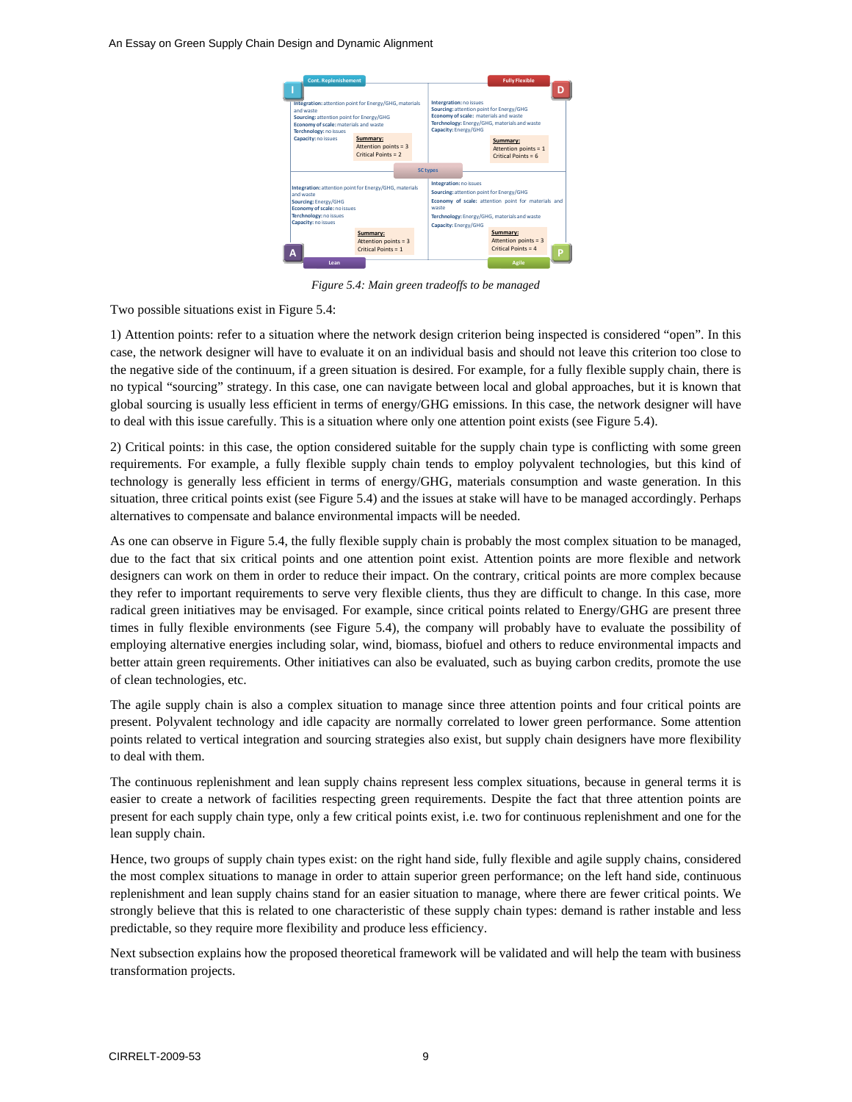An Essay on Green Supply Chain Design and Dynamic Alignment



*Figure 5.4: Main green tradeoffs to be managed* 

Two possible situations exist in Figure 5.4:

1) Attention points: refer to a situation where the network design criterion being inspected is considered "open". In this case, the network designer will have to evaluate it on an individual basis and should not leave this criterion too close to the negative side of the continuum, if a green situation is desired. For example, for a fully flexible supply chain, there is no typical "sourcing" strategy. In this case, one can navigate between local and global approaches, but it is known that global sourcing is usually less efficient in terms of energy/GHG emissions. In this case, the network designer will have to deal with this issue carefully. This is a situation where only one attention point exists (see Figure 5.4).

2) Critical points: in this case, the option considered suitable for the supply chain type is conflicting with some green requirements. For example, a fully flexible supply chain tends to employ polyvalent technologies, but this kind of technology is generally less efficient in terms of energy/GHG, materials consumption and waste generation. In this situation, three critical points exist (see Figure 5.4) and the issues at stake will have to be managed accordingly. Perhaps alternatives to compensate and balance environmental impacts will be needed.

As one can observe in Figure 5.4, the fully flexible supply chain is probably the most complex situation to be managed, due to the fact that six critical points and one attention point exist. Attention points are more flexible and network designers can work on them in order to reduce their impact. On the contrary, critical points are more complex because they refer to important requirements to serve very flexible clients, thus they are difficult to change. In this case, more radical green initiatives may be envisaged. For example, since critical points related to Energy/GHG are present three times in fully flexible environments (see Figure 5.4), the company will probably have to evaluate the possibility of employing alternative energies including solar, wind, biomass, biofuel and others to reduce environmental impacts and better attain green requirements. Other initiatives can also be evaluated, such as buying carbon credits, promote the use of clean technologies, etc.

The agile supply chain is also a complex situation to manage since three attention points and four critical points are present. Polyvalent technology and idle capacity are normally correlated to lower green performance. Some attention points related to vertical integration and sourcing strategies also exist, but supply chain designers have more flexibility to deal with them.

The continuous replenishment and lean supply chains represent less complex situations, because in general terms it is easier to create a network of facilities respecting green requirements. Despite the fact that three attention points are present for each supply chain type, only a few critical points exist, i.e. two for continuous replenishment and one for the lean supply chain.

Hence, two groups of supply chain types exist: on the right hand side, fully flexible and agile supply chains, considered the most complex situations to manage in order to attain superior green performance; on the left hand side, continuous replenishment and lean supply chains stand for an easier situation to manage, where there are fewer critical points. We strongly believe that this is related to one characteristic of these supply chain types: demand is rather instable and less predictable, so they require more flexibility and produce less efficiency.

Next subsection explains how the proposed theoretical framework will be validated and will help the team with business transformation projects.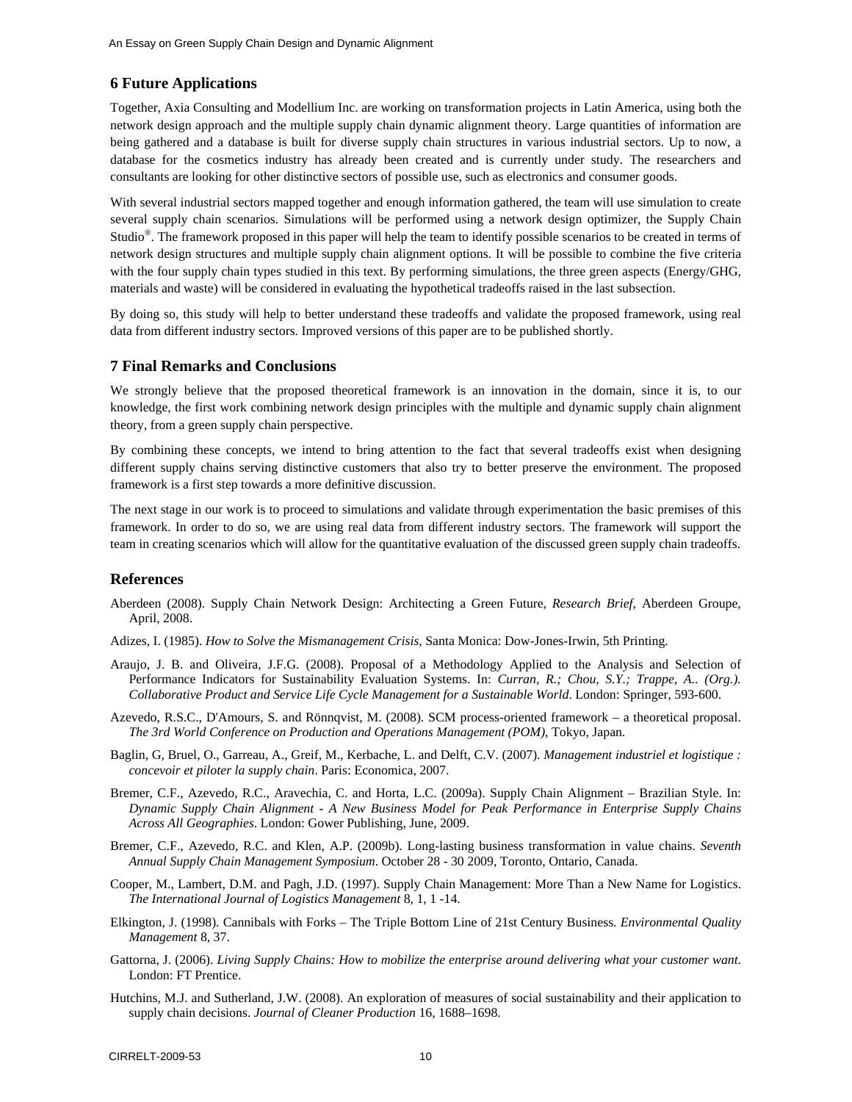### **6 Future Applications**

Together, Axia Consulting and Modellium Inc. are working on transformation projects in Latin America, using both the network design approach and the multiple supply chain dynamic alignment theory. Large quantities of information are being gathered and a database is built for diverse supply chain structures in various industrial sectors. Up to now, a database for the cosmetics industry has already been created and is currently under study. The researchers and consultants are looking for other distinctive sectors of possible use, such as electronics and consumer goods.

With several industrial sectors mapped together and enough information gathered, the team will use simulation to create several supply chain scenarios. Simulations will be performed using a network design optimizer, the Supply Chain Studio®. The framework proposed in this paper will help the team to identify possible scenarios to be created in terms of network design structures and multiple supply chain alignment options. It will be possible to combine the five criteria with the four supply chain types studied in this text. By performing simulations, the three green aspects (Energy/GHG, materials and waste) will be considered in evaluating the hypothetical tradeoffs raised in the last subsection.

By doing so, this study will help to better understand these tradeoffs and validate the proposed framework, using real data from different industry sectors. Improved versions of this paper are to be published shortly.

#### **7 Final Remarks and Conclusions**

We strongly believe that the proposed theoretical framework is an innovation in the domain, since it is, to our knowledge, the first work combining network design principles with the multiple and dynamic supply chain alignment theory, from a green supply chain perspective.

By combining these concepts, we intend to bring attention to the fact that several tradeoffs exist when designing different supply chains serving distinctive customers that also try to better preserve the environment. The proposed framework is a first step towards a more definitive discussion.

The next stage in our work is to proceed to simulations and validate through experimentation the basic premises of this framework. In order to do so, we are using real data from different industry sectors. The framework will support the team in creating scenarios which will allow for the quantitative evaluation of the discussed green supply chain tradeoffs.

#### **References**

- Aberdeen (2008). Supply Chain Network Design: Architecting a Green Future, *Research Brief*, Aberdeen Groupe, April, 2008.
- Adizes, I. (1985). *How to Solve the Mismanagement Crisis*, Santa Monica: Dow-Jones-Irwin, 5th Printing.
- Araujo, J. B. and Oliveira, J.F.G. (2008). Proposal of a Methodology Applied to the Analysis and Selection of Performance Indicators for Sustainability Evaluation Systems. In: *Curran, R.; Chou, S.Y.; Trappe, A.. (Org.). Collaborative Product and Service Life Cycle Management for a Sustainable World*. London: Springer, 593-600.
- Azevedo, R.S.C., D'Amours, S. and Rönnqvist, M. (2008). SCM process-oriented framework a theoretical proposal. *The 3rd World Conference on Production and Operations Management (POM)*, Tokyo, Japan.
- Baglin, G, Bruel, O., Garreau, A., Greif, M., Kerbache, L. and Delft, C.V. (2007). *Management industriel et logistique : concevoir et piloter la supply chain*. Paris: Economica, 2007.
- Bremer, C.F., Azevedo, R.C., Aravechia, C. and Horta, L.C. (2009a). Supply Chain Alignment Brazilian Style. In: *Dynamic Supply Chain Alignment - A New Business Model for Peak Performance in Enterprise Supply Chains Across All Geographies*. London: Gower Publishing, June, 2009.
- Bremer, C.F., Azevedo, R.C. and Klen, A.P. (2009b). Long-lasting business transformation in value chains. *Seventh Annual Supply Chain Management Symposium*. October 28 - 30 2009, Toronto, Ontario, Canada.
- Cooper, M., Lambert, D.M. and Pagh, J.D. (1997). Supply Chain Management: More Than a New Name for Logistics. *The International Journal of Logistics Management* 8, 1, 1 -14.
- Elkington, J. (1998). Cannibals with Forks The Triple Bottom Line of 21st Century Business. *Environmental Quality Management* 8, 37.
- Gattorna, J. (2006). *Living Supply Chains: How to mobilize the enterprise around delivering what your customer want*. London: FT Prentice.
- Hutchins, M.J. and Sutherland, J.W. (2008). An exploration of measures of social sustainability and their application to supply chain decisions. *Journal of Cleaner Production* 16, 1688–1698.